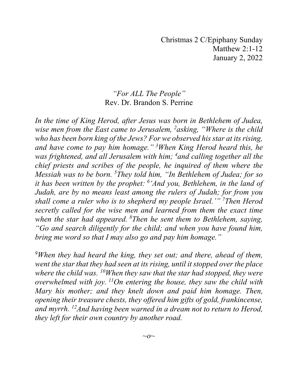Christmas 2 C/Epiphany Sunday Matthew 2:1-12 January 2, 2022

## *"For ALL The People"* Rev. Dr. Brandon S. Perrine

*In the time of King Herod, after Jesus was born in Bethlehem of Judea, wise men from the East came to Jerusalem, <sup>2</sup> asking, "Where is the child who has been born king of the Jews? For we observed his star at its rising, and have come to pay him homage." <sup>3</sup> When King Herod heard this, he was frightened, and all Jerusalem with him; <sup>4</sup> and calling together all the chief priests and scribes of the people, he inquired of them where the Messiah was to be born. <sup>5</sup> They told him, "In Bethlehem of Judea; for so it has been written by the prophet: <sup>6</sup> 'And you, Bethlehem, in the land of Judah, are by no means least among the rulers of Judah; for from you shall come a ruler who is to shepherd my people Israel.'" <sup>7</sup> Then Herod secretly called for the wise men and learned from them the exact time when the star had appeared. <sup>8</sup> Then he sent them to Bethlehem, saying, "Go and search diligently for the child; and when you have found him, bring me word so that I may also go and pay him homage."*

*9 When they had heard the king, they set out; and there, ahead of them, went the star that they had seen at its rising, until it stopped over the place where the child was. 10When they saw that the star had stopped, they were overwhelmed with joy. 11On entering the house, they saw the child with Mary his mother; and they knelt down and paid him homage. Then, opening their treasure chests, they offered him gifts of gold, frankincense, and myrrh. 12And having been warned in a dream not to return to Herod, they left for their own country by another road.*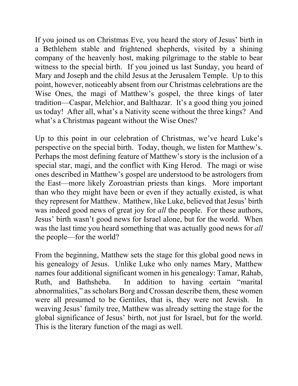If you joined us on Christmas Eve, you heard the story of Jesus' birth in a Bethlehem stable and frightened shepherds, visited by a shining company of the heavenly host, making pilgrimage to the stable to bear witness to the special birth. If you joined us last Sunday, you heard of Mary and Joseph and the child Jesus at the Jerusalem Temple. Up to this point, however, noticeably absent from our Christmas celebrations are the Wise Ones, the magi of Matthew's gospel, the three kings of later tradition—Caspar, Melchior, and Balthazar. It's a good thing you joined us today! After all, what's a Nativity scene without the three kings? And what's a Christmas pageant without the Wise Ones?

Up to this point in our celebration of Christmas, we've heard Luke's perspective on the special birth. Today, though, we listen for Matthew's. Perhaps the most defining feature of Matthew's story is the inclusion of a special star, magi, and the conflict with King Herod. The magi or wise ones described in Matthew's gospel are understood to be astrologers from the East—more likely Zoroastrian priests than kings. More important than who they might have been or even if they actually existed, is what they represent for Matthew. Matthew, like Luke, believed that Jesus' birth was indeed good news of great joy for *all* the people. For these authors, Jesus' birth wasn't good news for Israel alone, but for the world. When was the last time you heard something that was actually good news for *all*  the people—for the world?

From the beginning, Matthew sets the stage for this global good news in his genealogy of Jesus. Unlike Luke who only names Mary, Matthew names four additional significant women in his genealogy: Tamar, Rahab, Ruth, and Bathsheba. In addition to having certain "marital abnormalities," as scholars Borg and Crossan describe them, these women were all presumed to be Gentiles, that is, they were not Jewish. In weaving Jesus' family tree, Matthew was already setting the stage for the global significance of Jesus' birth, not just for Israel, but for the world. This is the literary function of the magi as well.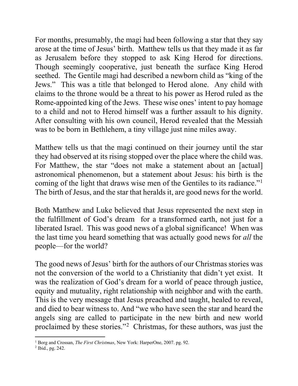For months, presumably, the magi had been following a star that they say arose at the time of Jesus' birth. Matthew tells us that they made it as far as Jerusalem before they stopped to ask King Herod for directions. Though seemingly cooperative, just beneath the surface King Herod seethed. The Gentile magi had described a newborn child as "king of the Jews." This was a title that belonged to Herod alone. Any child with claims to the throne would be a threat to his power as Herod ruled as the Rome-appointed king of the Jews. These wise ones' intent to pay homage to a child and not to Herod himself was a further assault to his dignity. After consulting with his own council, Herod revealed that the Messiah was to be born in Bethlehem, a tiny village just nine miles away.

Matthew tells us that the magi continued on their journey until the star they had observed at its rising stopped over the place where the child was. For Matthew, the star "does not make a statement about an [actual] astronomical phenomenon, but a statement about Jesus: his birth is the coming of the light that draws wise men of the Gentiles to its radiance."<sup>[1](#page-2-0)</sup> The birth of Jesus, and the star that heralds it, are good news for the world.

Both Matthew and Luke believed that Jesus represented the next step in the fulfillment of God's dream for a transformed earth, not just for a liberated Israel. This was good news of a global significance! When was the last time you heard something that was actually good news for *all* the people—for the world?

The good news of Jesus' birth for the authors of our Christmas stories was not the conversion of the world to a Christianity that didn't yet exist. It was the realization of God's dream for a world of peace through justice, equity and mutuality, right relationship with neighbor and with the earth. This is the very message that Jesus preached and taught, healed to reveal, and died to bear witness to. And "we who have seen the star and heard the angels sing are called to participate in the new birth and new world proclaimed by these stories."<sup>[2](#page-2-1)</sup> Christmas, for these authors, was just the

<span id="page-2-0"></span><sup>1</sup> Borg and Crossan, *The First Christmas*, New York: HarperOne, 2007. pg. 92.

<span id="page-2-1"></span><sup>2</sup> Ibid., pg. 242.